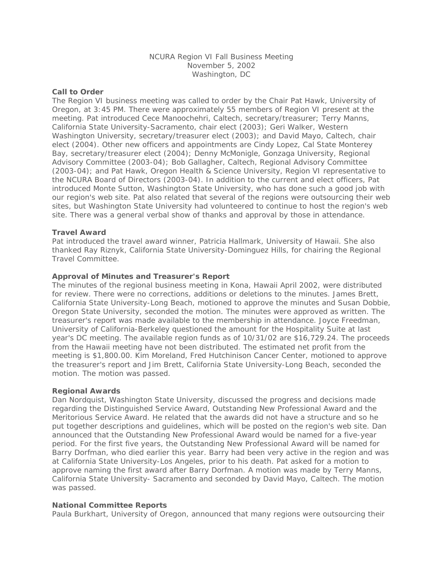# NCURA Region VI Fall Business Meeting November 5, 2002 Washington, DC

### **Call to Order**

The Region VI business meeting was called to order by the Chair Pat Hawk, University of Oregon, at 3:45 PM. There were approximately 55 members of Region VI present at the meeting. Pat introduced Cece Manoochehri, Caltech, secretary/treasurer; Terry Manns, California State University-Sacramento, chair elect (2003); Geri Walker, Western Washington University, secretary/treasurer elect (2003); and David Mayo, Caltech, chair elect (2004). Other new officers and appointments are Cindy Lopez, Cal State Monterey Bay, secretary/treasurer elect (2004); Denny McMonigle, Gonzaga University, Regional Advisory Committee (2003-04); Bob Gallagher, Caltech, Regional Advisory Committee (2003-04); and Pat Hawk, Oregon Health & Science University, Region VI representative to the NCURA Board of Directors (2003-04). In addition to the current and elect officers, Pat introduced Monte Sutton, Washington State University, who has done such a good job with our region's web site. Pat also related that several of the regions were outsourcing their web sites, but Washington State University had volunteered to continue to host the region's web site. There was a general verbal show of thanks and approval by those in attendance.

## **Travel Award**

Pat introduced the travel award winner, Patricia Hallmark, University of Hawaii. She also thanked Ray Riznyk, California State University-Dominguez Hills, for chairing the Regional Travel Committee.

## **Approval of Minutes and Treasurer's Report**

The minutes of the regional business meeting in Kona, Hawaii April 2002, were distributed for review. There were no corrections, additions or deletions to the minutes. James Brett, California State University-Long Beach, motioned to approve the minutes and Susan Dobbie, Oregon State University, seconded the motion. The minutes were approved as written. The treasurer's report was made available to the membership in attendance. Joyce Freedman, University of California-Berkeley questioned the amount for the Hospitality Suite at last year's DC meeting. The available region funds as of 10/31/02 are \$16,729.24. The proceeds from the Hawaii meeting have not been distributed. The estimated net profit from the meeting is \$1,800.00. Kim Moreland, Fred Hutchinison Cancer Center, motioned to approve the treasurer's report and Jim Brett, California State University-Long Beach, seconded the motion. The motion was passed.

#### **Regional Awards**

Dan Nordquist, Washington State University, discussed the progress and decisions made regarding the Distinguished Service Award, Outstanding New Professional Award and the Meritorious Service Award. He related that the awards did not have a structure and so he put together descriptions and guidelines, which will be posted on the region's web site. Dan announced that the Outstanding New Professional Award would be named for a five-year period. For the first five years, the Outstanding New Professional Award will be named for Barry Dorfman, who died earlier this year. Barry had been very active in the region and was at California State University-Los Angeles, prior to his death. Pat asked for a motion to approve naming the first award after Barry Dorfman. A motion was made by Terry Manns, California State University- Sacramento and seconded by David Mayo, Caltech. The motion was passed.

#### **National Committee Reports**

Paula Burkhart, University of Oregon, announced that many regions were outsourcing their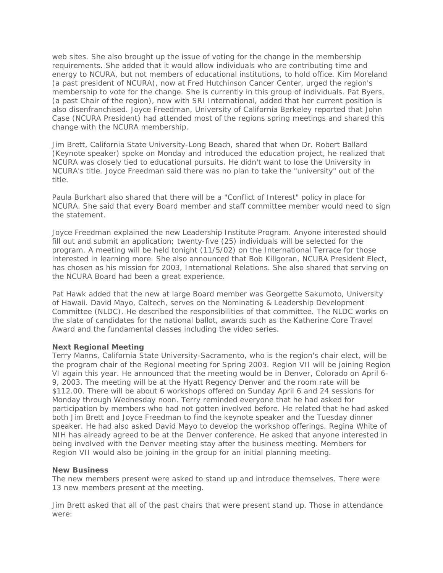web sites. She also brought up the issue of voting for the change in the membership requirements. She added that it would allow individuals who are contributing time and energy to NCURA, but not members of educational institutions, to hold office. Kim Moreland (a past president of NCURA), now at Fred Hutchinson Cancer Center, urged the region's membership to vote for the change. She is currently in this group of individuals. Pat Byers, (a past Chair of the region), now with SRI International, added that her current position is also disenfranchised. Joyce Freedman, University of California Berkeley reported that John Case (NCURA President) had attended most of the regions spring meetings and shared this change with the NCURA membership.

Jim Brett, California State University-Long Beach, shared that when Dr. Robert Ballard (Keynote speaker) spoke on Monday and introduced the education project, he realized that NCURA was closely tied to educational pursuits. He didn't want to lose the University in NCURA's title. Joyce Freedman said there was no plan to take the "university" out of the title.

Paula Burkhart also shared that there will be a "Conflict of Interest" policy in place for NCURA. She said that every Board member and staff committee member would need to sign the statement.

Joyce Freedman explained the new Leadership Institute Program. Anyone interested should fill out and submit an application; twenty-five (25) individuals will be selected for the program. A meeting will be held tonight (11/5/02) on the International Terrace for those interested in learning more. She also announced that Bob Killgoran, NCURA President Elect, has chosen as his mission for 2003, International Relations. She also shared that serving on the NCURA Board had been a great experience.

Pat Hawk added that the new at large Board member was Georgette Sakumoto, University of Hawaii. David Mayo, Caltech, serves on the Nominating & Leadership Development Committee (NLDC). He described the responsibilities of that committee. The NLDC works on the slate of candidates for the national ballot, awards such as the Katherine Core Travel Award and the fundamental classes including the video series.

#### **Next Regional Meeting**

Terry Manns, California State University-Sacramento, who is the region's chair elect, will be the program chair of the Regional meeting for Spring 2003. Region VII will be joining Region VI again this year. He announced that the meeting would be in Denver, Colorado on April 6- 9, 2003. The meeting will be at the Hyatt Regency Denver and the room rate will be \$112.00. There will be about 6 workshops offered on Sunday April 6 and 24 sessions for Monday through Wednesday noon. Terry reminded everyone that he had asked for participation by members who had not gotten involved before. He related that he had asked both Jim Brett and Joyce Freedman to find the keynote speaker and the Tuesday dinner speaker. He had also asked David Mayo to develop the workshop offerings. Regina White of NIH has already agreed to be at the Denver conference. He asked that anyone interested in being involved with the Denver meeting stay after the business meeting. Members for Region VII would also be joining in the group for an initial planning meeting.

#### **New Business**

The new members present were asked to stand up and introduce themselves. There were 13 new members present at the meeting.

Jim Brett asked that all of the past chairs that were present stand up. Those in attendance were: